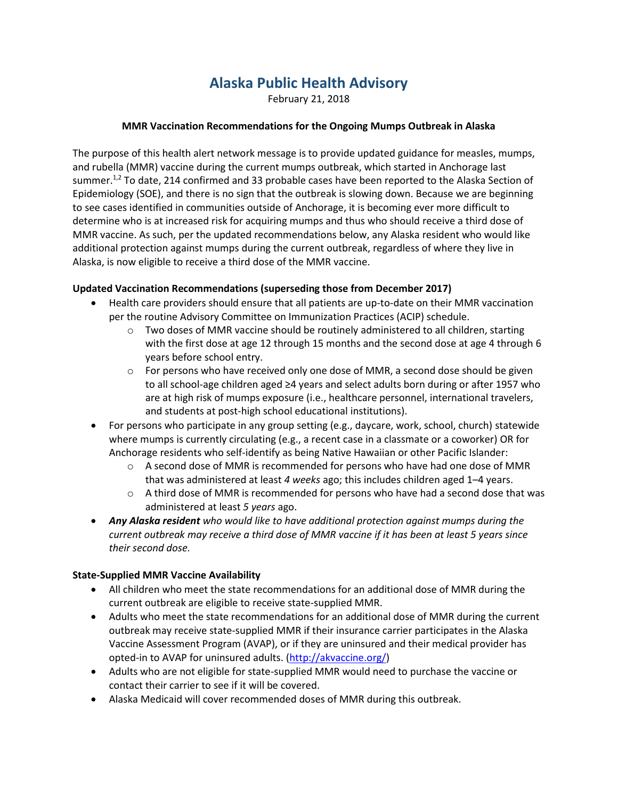# **Alaska Public Health Advisory**

February 21, 2018

## **MMR Vaccination Recommendations for the Ongoing Mumps Outbreak in Alaska**

The purpose of this health alert network message is to provide updated guidance for measles, mumps, and rubella (MMR) vaccine during the current mumps outbreak, which started in Anchorage last summer.<sup>1,2</sup> To date, 214 confirmed and 33 probable cases have been reported to the Alaska Section of Epidemiology (SOE), and there is no sign that the outbreak is slowing down. Because we are beginning to see cases identified in communities outside of Anchorage, it is becoming ever more difficult to determine who is at increased risk for acquiring mumps and thus who should receive a third dose of MMR vaccine. As such, per the updated recommendations below, any Alaska resident who would like additional protection against mumps during the current outbreak, regardless of where they live in Alaska, is now eligible to receive a third dose of the MMR vaccine.

## **Updated Vaccination Recommendations (superseding those from December 2017)**

- Health care providers should ensure that all patients are up-to-date on their MMR vaccination per the routine Advisory Committee on Immunization Practices (ACIP) schedule.
	- $\circ$  Two doses of MMR vaccine should be routinely administered to all children, starting with the first dose at age 12 through 15 months and the second dose at age 4 through 6 years before school entry.
	- $\circ$  For persons who have received only one dose of MMR, a second dose should be given to all school-age children aged ≥4 years and select adults born during or after 1957 who are at high risk of mumps exposure (i.e., healthcare personnel, international travelers, and students at post-high school educational institutions).
- For persons who participate in any group setting (e.g., daycare, work, school, church) statewide where mumps is currently circulating (e.g., a recent case in a classmate or a coworker) OR for Anchorage residents who self-identify as being Native Hawaiian or other Pacific Islander:
	- o A second dose of MMR is recommended for persons who have had one dose of MMR that was administered at least *4 weeks* ago; this includes children aged 1–4 years.
	- $\circ$  A third dose of MMR is recommended for persons who have had a second dose that was administered at least *5 years* ago.
- *Any Alaska resident who would like to have additional protection against mumps during the current outbreak may receive a third dose of MMR vaccine if it has been at least 5 years since their second dose.*

#### **State-Supplied MMR Vaccine Availability**

- All children who meet the state recommendations for an additional dose of MMR during the current outbreak are eligible to receive state-supplied MMR.
- Adults who meet the state recommendations for an additional dose of MMR during the current outbreak may receive state-supplied MMR if their insurance carrier participates in the Alaska Vaccine Assessment Program (AVAP), or if they are uninsured and their medical provider has opted-in to AVAP for uninsured adults. [\(http://akvaccine.org/\)](http://akvaccine.org/)
- Adults who are not eligible for state-supplied MMR would need to purchase the vaccine or contact their carrier to see if it will be covered.
- Alaska Medicaid will cover recommended doses of MMR during this outbreak.